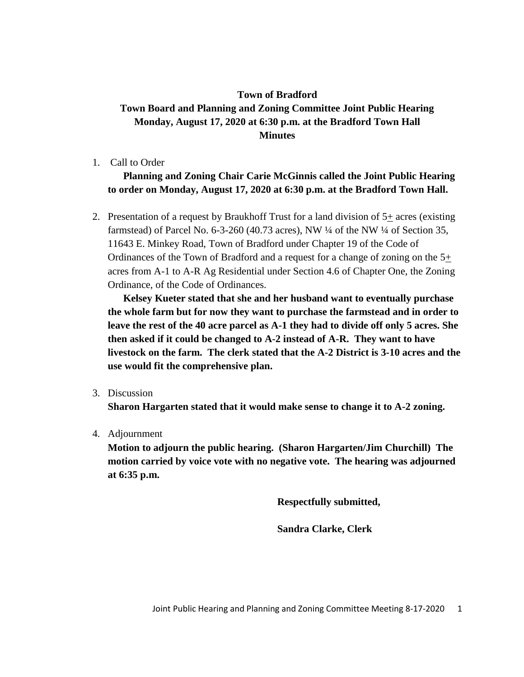## **Town of Bradford Town Board and Planning and Zoning Committee Joint Public Hearing Monday, August 17, 2020 at 6:30 p.m. at the Bradford Town Hall Minutes**

1. Call to Order

**Planning and Zoning Chair Carie McGinnis called the Joint Public Hearing to order on Monday, August 17, 2020 at 6:30 p.m. at the Bradford Town Hall.**

2. Presentation of a request by Braukhoff Trust for a land division of  $5<sub>+</sub>$  acres (existing farmstead) of Parcel No. 6-3-260 (40.73 acres), NW ¼ of the NW ¼ of Section 35, 11643 E. Minkey Road, Town of Bradford under Chapter 19 of the Code of Ordinances of the Town of Bradford and a request for a change of zoning on the 5+ acres from A-1 to A-R Ag Residential under Section 4.6 of Chapter One, the Zoning Ordinance, of the Code of Ordinances.

**Kelsey Kueter stated that she and her husband want to eventually purchase the whole farm but for now they want to purchase the farmstead and in order to leave the rest of the 40 acre parcel as A-1 they had to divide off only 5 acres. She then asked if it could be changed to A-2 instead of A-R. They want to have livestock on the farm. The clerk stated that the A-2 District is 3-10 acres and the use would fit the comprehensive plan.** 

3. Discussion

**Sharon Hargarten stated that it would make sense to change it to A-2 zoning.**

4. Adjournment

**Motion to adjourn the public hearing. (Sharon Hargarten/Jim Churchill) The motion carried by voice vote with no negative vote. The hearing was adjourned at 6:35 p.m.**

**Respectfully submitted,**

**Sandra Clarke, Clerk**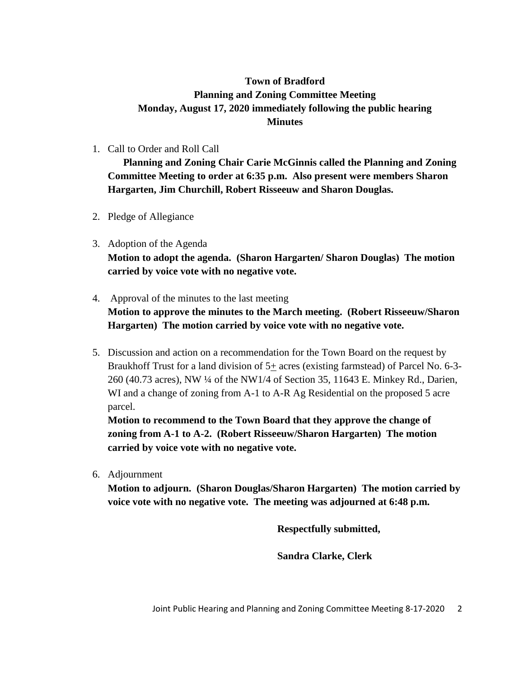## **Town of Bradford Planning and Zoning Committee Meeting Monday, August 17, 2020 immediately following the public hearing Minutes**

1. Call to Order and Roll Call

**Planning and Zoning Chair Carie McGinnis called the Planning and Zoning Committee Meeting to order at 6:35 p.m. Also present were members Sharon Hargarten, Jim Churchill, Robert Risseeuw and Sharon Douglas.**

- 2. Pledge of Allegiance
- 3. Adoption of the Agenda **Motion to adopt the agenda. (Sharon Hargarten/ Sharon Douglas) The motion carried by voice vote with no negative vote.**
- 4. Approval of the minutes to the last meeting **Motion to approve the minutes to the March meeting. (Robert Risseeuw/Sharon Hargarten) The motion carried by voice vote with no negative vote.**
- 5. Discussion and action on a recommendation for the Town Board on the request by Braukhoff Trust for a land division of 5+ acres (existing farmstead) of Parcel No. 6-3- 260 (40.73 acres), NW ¼ of the NW1/4 of Section 35, 11643 E. Minkey Rd., Darien, WI and a change of zoning from A-1 to A-R Ag Residential on the proposed 5 acre parcel.

**Motion to recommend to the Town Board that they approve the change of zoning from A-1 to A-2. (Robert Risseeuw/Sharon Hargarten) The motion carried by voice vote with no negative vote.**

6. Adjournment

**Motion to adjourn. (Sharon Douglas/Sharon Hargarten) The motion carried by voice vote with no negative vote. The meeting was adjourned at 6:48 p.m.**

**Respectfully submitted,**

**Sandra Clarke, Clerk**